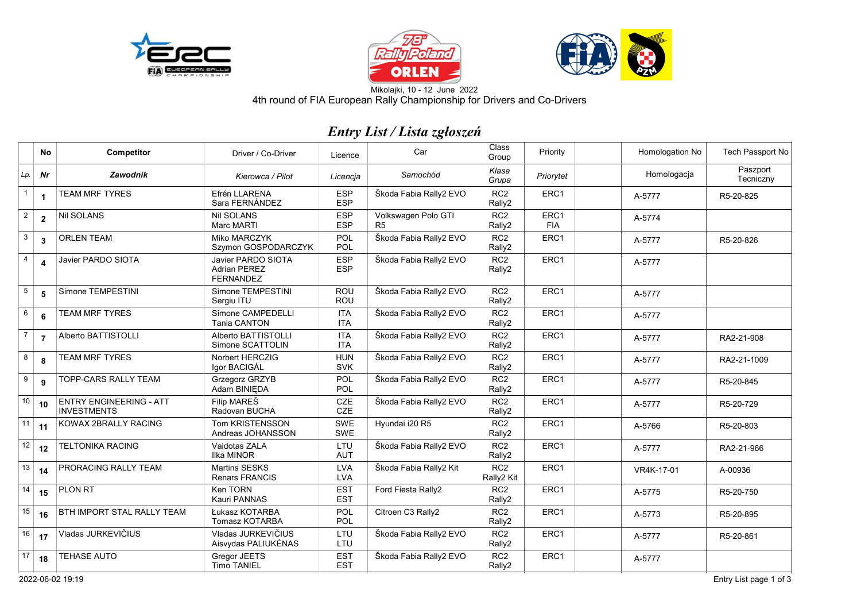





4th round of FIA European Rally Championship for Drivers and Co-DriversMikolajki, 10 - 12 June 2022

## *Entry List / Lista zgłoszeń*

|                  | No             | Competitor                                           | Driver / Co-Driver                                                   | Licence                  | Car                                   | Class<br>Group                | Priority           | Homologation No | Tech Passport No      |
|------------------|----------------|------------------------------------------------------|----------------------------------------------------------------------|--------------------------|---------------------------------------|-------------------------------|--------------------|-----------------|-----------------------|
| Lp.              | Nr             | Zawodnik                                             | Kierowca / Pilot                                                     | Licencia                 | Samochód                              | Klasa<br>Grupa                | Priorytet          | Homologacja     | Paszport<br>Tecniczny |
| $\mathbf{1}$     | $\mathbf{1}$   | <b>TEAM MRF TYRES</b>                                | Efrén LLARENA<br>Sara FERNÁNDEZ                                      | <b>ESP</b><br><b>ESP</b> | Škoda Fabia Rally2 EVO                | RC <sub>2</sub><br>Rally2     | ERC <sub>1</sub>   | A-5777          | R5-20-825             |
| $\overline{2}$   | $\overline{2}$ | <b>Nil SOLANS</b>                                    | <b>Nil SOLANS</b><br>Marc MARTI                                      | <b>ESP</b><br><b>ESP</b> | Volkswagen Polo GTI<br>R <sub>5</sub> | RC <sub>2</sub><br>Rally2     | ERC1<br><b>FIA</b> | A-5774          |                       |
| 3                | 3              | <b>ORLEN TEAM</b>                                    | Miko MARCZYK<br>Szymon GOSPODARCZYK                                  | POL<br>POL               | Škoda Fabia Rally2 EVO                | RC <sub>2</sub><br>Rally2     | ERC1               | A-5777          | R5-20-826             |
| $\overline{4}$   | 4              | Javier PARDO SIOTA                                   | <b>Javier PARDO SIOTA</b><br><b>Adrian PEREZ</b><br><b>FERNANDEZ</b> | <b>ESP</b><br><b>ESP</b> | Škoda Fabia Rally2 EVO                | RC <sub>2</sub><br>Rally2     | ERC1               | A-5777          |                       |
| 5                | 5              | Simone TEMPESTINI                                    | Simone TEMPESTINI<br>Sergiu ITU                                      | <b>ROU</b><br><b>ROU</b> | Škoda Fabia Rally2 EVO                | RC <sub>2</sub><br>Rally2     | ERC1               | A-5777          |                       |
| $6\phantom{1}6$  | 6              | <b>TEAM MRF TYRES</b>                                | Simone CAMPEDELLI<br>Tania CANTON                                    | <b>ITA</b><br><b>ITA</b> | Škoda Fabia Rally2 EVO                | RC <sub>2</sub><br>Rally2     | ERC1               | A-5777          |                       |
| $\overline{7}$   | $\overline{7}$ | Alberto BATTISTOLLI                                  | Alberto BATTISTOLLI<br>Simone SCATTOLIN                              | <b>ITA</b><br><b>ITA</b> | Škoda Fabia Rally2 EVO                | RC <sub>2</sub><br>Rally2     | ERC1               | A-5777          | RA2-21-908            |
| $\bf 8$          | 8              | TEAM MRF TYRES                                       | Norbert HERCZIG<br>Igor BACIGÁL                                      | <b>HUN</b><br><b>SVK</b> | Škoda Fabia Rally2 EVO                | RC <sub>2</sub><br>Rally2     | ERC1               | A-5777          | RA2-21-1009           |
| $\boldsymbol{9}$ | 9              | TOPP-CARS RALLY TEAM                                 | Grzegorz GRZYB<br>Adam BINIEDA                                       | <b>POL</b><br><b>POL</b> | Škoda Fabia Rally2 EVO                | RC <sub>2</sub><br>Rally2     | ERC1               | A-5777          | R5-20-845             |
| 10               | 10             | <b>ENTRY ENGINEERING - ATT</b><br><b>INVESTMENTS</b> | Filip MAREŠ<br>Radovan BUCHA                                         | CZE<br>CZE               | Škoda Fabia Rally2 EVO                | RC <sub>2</sub><br>Rally2     | ERC1               | A-5777          | R5-20-729             |
| 11               | 11             | KOWAX 2BRALLY RACING                                 | Tom KRISTENSSON<br>Andreas JOHANSSON                                 | SWE<br>SWE               | Hyundai i20 R5                        | RC <sub>2</sub><br>Rally2     | ERC1               | A-5766          | R5-20-803             |
| 12               | 12             | <b>TELTONIKA RACING</b>                              | Vaidotas ZALA<br><b>Ilka MINOR</b>                                   | LTU<br><b>AUT</b>        | Škoda Fabia Rally2 EVO                | RC <sub>2</sub><br>Rally2     | ERC1               | A-5777          | RA2-21-966            |
| 13               | 14             | PRORACING RALLY TEAM                                 | Martins SESKS<br>Renars FRANCIS                                      | LVA<br><b>LVA</b>        | Škoda Fabia Rally2 Kit                | RC <sub>2</sub><br>Rally2 Kit | ERC1               | VR4K-17-01      | A-00936               |
| 14               | 15             | PLON RT                                              | Ken TORN<br>Kauri PANNAS                                             | <b>EST</b><br><b>EST</b> | Ford Fiesta Rally2                    | RC <sub>2</sub><br>Rally2     | ERC1               | A-5775          | R5-20-750             |
| 15               | 16             | BTH IMPORT STAL RALLY TEAM                           | Łukasz KOTARBA<br>Tomasz KOTARBA                                     | POL<br><b>POL</b>        | Citroen C3 Rally2                     | RC <sub>2</sub><br>Rally2     | ERC1               | A-5773          | R5-20-895             |
| 16               | 17             | Vladas JURKEVIČIUS                                   | Vladas JURKEVIČIUS<br>Aisvydas PALIUKĖNAS                            | LTU<br>LTU               | Škoda Fabia Rally2 EVO                | RC <sub>2</sub><br>Rally2     | ERC1               | A-5777          | R5-20-861             |
| 17               | 18             | <b>TEHASE AUTO</b>                                   | Gregor JEETS<br><b>Timo TANIEL</b>                                   | <b>EST</b><br><b>EST</b> | Škoda Fabia Rally2 EVO                | RC <sub>2</sub><br>Rally2     | ERC1               | A-5777          |                       |

2022-06-02 19:19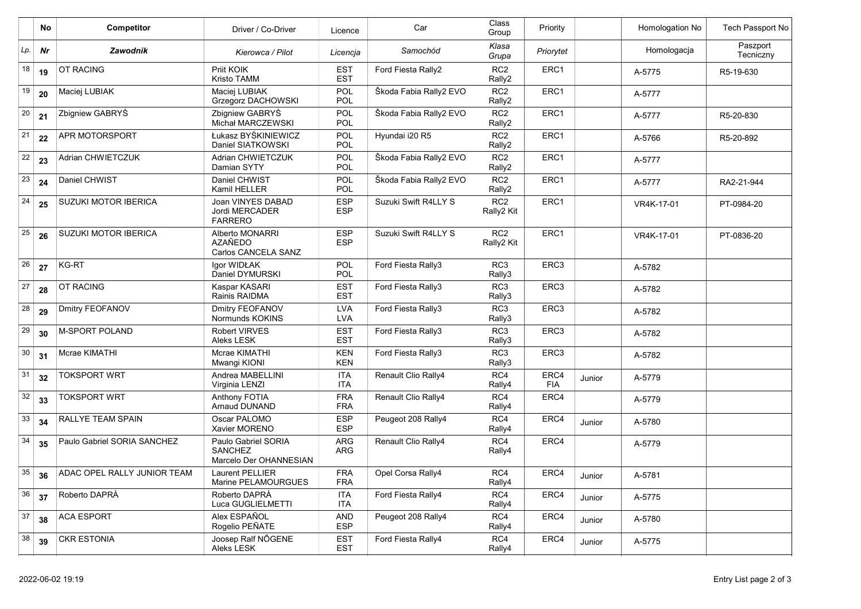|     | No        | <b>Competitor</b>                | Driver / Co-Driver                                              | Licence                  | Car                    | Class<br>Group                | Priority           |        | Homologation No | Tech Passport No      |
|-----|-----------|----------------------------------|-----------------------------------------------------------------|--------------------------|------------------------|-------------------------------|--------------------|--------|-----------------|-----------------------|
| Lp. | <b>Nr</b> | Zawodnik                         | Kierowca / Pilot                                                | Licencja                 | Samochód               | Klasa<br>Grupa                | Priorytet          |        | Homologacja     | Paszport<br>Tecniczny |
| 18  | 19        | <b>OT RACING</b>                 | Priit KOIK<br><b>Kristo TAMM</b>                                | <b>EST</b><br><b>EST</b> | Ford Fiesta Rally2     | RC <sub>2</sub><br>Rally2     | ERC1               |        | A-5775          | R5-19-630             |
| 19  | 20        | Maciej LUBIAK                    | Maciej LUBIAK<br>Grzegorz DACHOWSKI                             | POL<br>POL               | Škoda Fabia Rally2 EVO | RC <sub>2</sub><br>Rally2     | ERC1               |        | A-5777          |                       |
| 20  | 21        | Zbigniew GABRYŚ                  | Zbigniew GABRYS<br>Michał MARCZEWSKI                            | POL<br>POL               | Škoda Fabia Rally2 EVO | RC <sub>2</sub><br>Rally2     | ERC1               |        | A-5777          | R5-20-830             |
| 21  | 22        | APR MOTORSPORT                   | Łukasz BYŚKINIEWICZ<br>Daniel SIATKOWSKI                        | POL<br><b>POL</b>        | Hyundai i20 R5         | RC <sub>2</sub><br>Rally2     | ERC1               |        | A-5766          | R5-20-892             |
| 22  | 23        | Adrian CHWIETCZUK                | Adrian CHWIETCZUK<br>Damian SYTY                                | POL<br>POL               | Škoda Fabia Rally2 EVO | RC <sub>2</sub><br>Rally2     | ERC1               |        | A-5777          |                       |
| 23  | 24        | Daniel CHWIST                    | Daniel CHWIST<br>Kamil HELLER                                   | POL<br>POL               | Škoda Fabia Rally2 EVO | RC <sub>2</sub><br>Rally2     | ERC1               |        | A-5777          | RA2-21-944            |
| 24  | 25        | SUZUKI MOTOR IBERICA             | Joan VINYES DABAD<br>Jordi MERCADER<br><b>FARRERO</b>           | <b>ESP</b><br><b>ESP</b> | Suzuki Swift R4LLY S   | RC <sub>2</sub><br>Rally2 Kit | ERC1               |        | VR4K-17-01      | PT-0984-20            |
| 25  | 26        | SUZUKI MOTOR IBERICA             | Alberto MONARRI<br>AZAÑEDO<br>Carlos CANCELA SANZ               | <b>ESP</b><br><b>ESP</b> | Suzuki Swift R4LLY S   | RC <sub>2</sub><br>Rally2 Kit | ERC1               |        | VR4K-17-01      | PT-0836-20            |
| 26  | 27        | KG-RT                            | Igor WIDŁAK<br>Daniel DYMURSKI                                  | POL<br><b>POL</b>        | Ford Fiesta Rally3     | RC <sub>3</sub><br>Rally3     | ERC <sub>3</sub>   |        | A-5782          |                       |
| 27  | 28        | OT RACING                        | Kaspar KASARI<br>Rainis RAIDMA                                  | <b>EST</b><br><b>EST</b> | Ford Fiesta Rally3     | RC <sub>3</sub><br>Rally3     | ERC <sub>3</sub>   |        | A-5782          |                       |
| 28  | 29        | Dmitry FEOFANOV                  | Dmitry FEOFANOV<br>Normunds KOKINS                              | <b>LVA</b><br><b>LVA</b> | Ford Fiesta Rally3     | RC <sub>3</sub><br>Rally3     | ERC3               |        | A-5782          |                       |
| 29  | 30        | <b>M-SPORT POLAND</b>            | Robert VIRVES<br>Aleks LESK                                     | <b>EST</b><br><b>EST</b> | Ford Fiesta Rally3     | RC <sub>3</sub><br>Rally3     | ERC <sub>3</sub>   |        | A-5782          |                       |
| 30  | 31        | Mcrae KIMATHI                    | Mcrae KIMATHI<br>Mwangi KIONI                                   | <b>KEN</b><br><b>KEN</b> | Ford Fiesta Rally3     | RC <sub>3</sub><br>Rally3     | ERC <sub>3</sub>   |        | A-5782          |                       |
| 31  | 32        | <b>TOKSPORT WRT</b>              | Andrea MABELLINI<br>Virginia LENZI                              | <b>ITA</b><br><b>ITA</b> | Renault Clio Rally4    | RC4<br>Rally4                 | ERC4<br><b>FIA</b> | Junior | A-5779          |                       |
| 32  | 33        | <b>TOKSPORT WRT</b>              | Anthony FOTIA<br>Arnaud DUNAND                                  | <b>FRA</b><br><b>FRA</b> | Renault Clio Rally4    | RC4<br>Rally4                 | ERC4               |        | A-5779          |                       |
| 33  | 34        | RALLYE TEAM SPAIN                | Oscar PALOMO<br>Xavier MORENO                                   | <b>ESP</b><br><b>ESP</b> | Peugeot 208 Rally4     | RC4<br>Rally4                 | ERC4               | Junior | A-5780          |                       |
| 34  | 35        | Paulo Gabriel SORIA SANCHEZ      | Paulo Gabriel SORIA<br><b>SANCHEZ</b><br>Marcelo Der OHANNESIAN | <b>ARG</b><br><b>ARG</b> | Renault Clio Rally4    | RC4<br>Rally4                 | ERC4               |        | A-5779          |                       |
| 35  |           | 36   ADAC OPEL RALLY JUNIOR TEAM | Laurent PELLIER<br>Marine PELAMOURGUES                          | <b>FRA</b><br><b>FRA</b> | Opel Corsa Rally4      | RC4<br>Rally4                 | ERC4               | Junior | A-5781          |                       |
| 36  | 37        | Roberto DAPRÀ                    | Roberto DAPRÀ<br>Luca GUGLIELMETTI                              | ITA<br><b>ITA</b>        | Ford Fiesta Rally4     | RC4<br>Rally4                 | ERC4               | Junior | A-5775          |                       |
| 37  | 38        | <b>ACA ESPORT</b>                | Alex ESPAÑOL<br>Rogelio PEÑATE                                  | AND<br><b>ESP</b>        | Peugeot 208 Rally4     | RC4<br>Rally4                 | ERC4               | Junior | A-5780          |                       |
| 38  | 39        | <b>CKR ESTONIA</b>               | Joosep Ralf NOGENE<br>Aleks LESK                                | EST<br><b>EST</b>        | Ford Fiesta Rally4     | RC4<br>Rally4                 | ERC4               | Junior | A-5775          |                       |